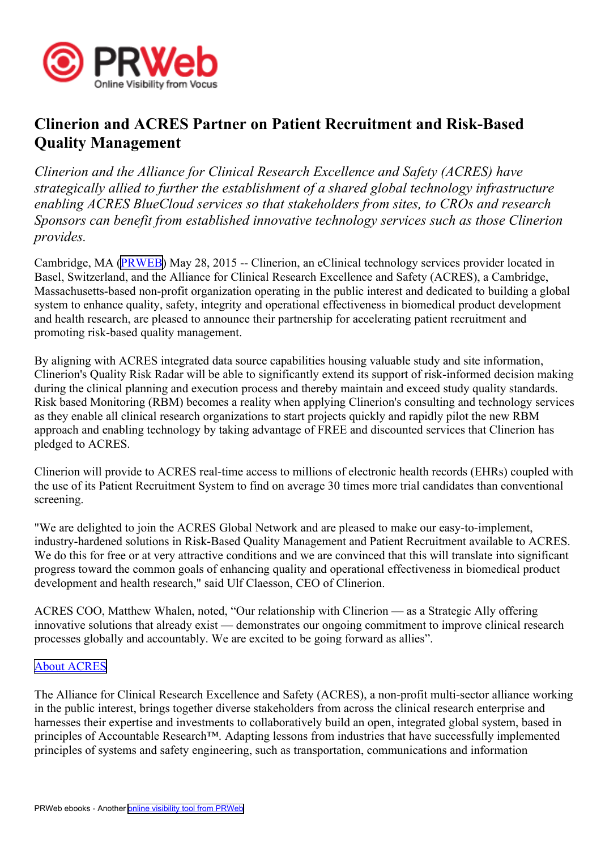

## **Clinerion and ACRES Partner on Patient Recruitment and Risk-Based Quality Management**

*Clinerion and the Alliance for Clinical Research Excellence and Safety (ACRES) have strategically allied to further the establishment of <sup>a</sup> shared global technology infrastructure enabling ACRES BlueCloud services so that stakeholders from sites, to CROs and research Sponsors can benefit from established innovative technology services such as those Clinerion provides.*

Cambridge, MA ([PRWEB](http://www.prweb.com)) May 28, 2015 -- Clinerion, an eClinical technology services provider located in Basel, Switzerland, and the Alliance for Clinical Research Excellence and Safety (ACRES), <sup>a</sup> Cambridge, Massachusetts-based non-profit organization operating in the public interest and dedicated to building <sup>a</sup> global system to enhance quality, safety, integrity and operational effectiveness in biomedical product development and health research, are pleased to announce their partnership for accelerating patient recruitment and promoting risk-based quality management.

By aligning with ACRES integrated data source capabilities housing valuable study and site information, Clinerion's Quality Risk Radar will be able to significantly extend its suppor<sup>t</sup> of risk-informed decision making during the clinical planning and execution process and thereby maintain and exceed study quality standards. Risk based Monitoring (RBM) becomes <sup>a</sup> reality when applying Clinerion's consulting and technology services as they enable all clinical research organizations to start projects quickly and rapidly pilot the new RBM approach and enabling technology by taking advantage of FREE and discounted services that Clinerion has pledged to ACRES.

Clinerion will provide to ACRES real-time access to millions of electronic health records (EHRs) coupled with the use of its Patient Recruitment System to find on average 30 times more trial candidates than conventional screening.

"We are delighted to join the ACRES Global Network and are pleased to make our easy-to-implement, industry-hardened solutions in Risk-Based Quality Management and Patient Recruitment available to ACRES. We do this for free or at very attractive conditions and we are convinced that this will translate into significant progress toward the common goals of enhancing quality and operational effectiveness in biomedical product development and health research," said Ulf Claesson, CEO of Clinerion.

ACRES COO, Matthew Whalen, noted, "Our relationship with Clinerion — as <sup>a</sup> Strategic Ally offering innovative solutions that already exist — demonstrates our ongoing commitment to improve clinical research processes globally and accountably. We are excited to be going forward as allies".

## About [ACRES](http://www.acresglobal.net)

The Alliance for Clinical Research Excellence and Safety (ACRES), <sup>a</sup> non-profit multi-sector alliance working in the public interest, brings together diverse stakeholders from across the clinical research enterprise and harnesses their expertise and investments to collaboratively build an open, integrated global system, based in principles of Accountable Research™. Adapting lessons from industries that have successfully implemented principles of systems and safety engineering, such as transportation, communications and information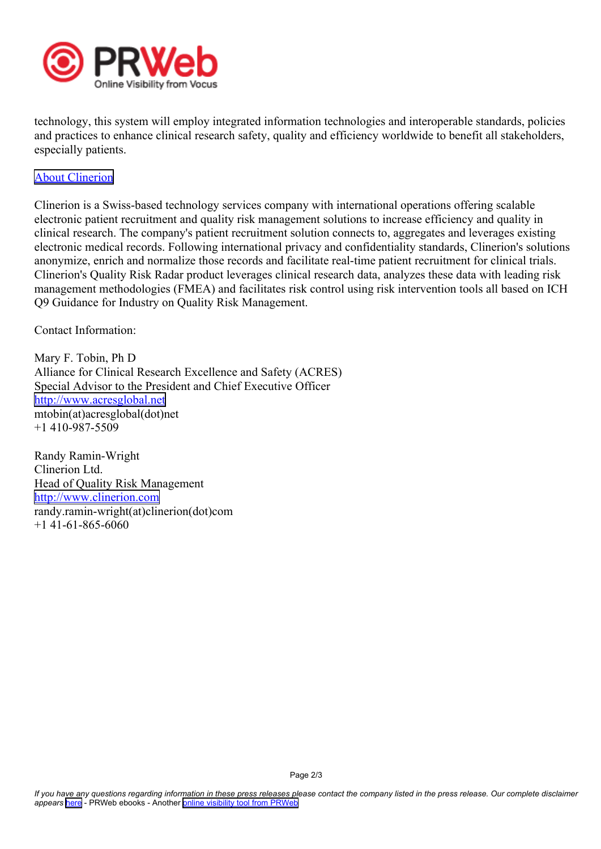

technology, this system will employ integrated information technologies and interoperable standards, policies and practices to enhance clinical research safety, quality and efficiency worldwide to benefit all stakeholders, especially patients.

## About [Clinerion](http://www.clinerion.com)

Clinerion is <sup>a</sup> Swiss-based technology services company with international operations offering scalable electronic patient recruitment and quality risk managemen<sup>t</sup> solutions to increase efficiency and quality in clinical research. The company's patient recruitment solution connects to, aggregates and leverages existing electronic medical records. Following international privacy and confidentiality standards, Clinerion's solutions anonymize, enrich and normalize those records and facilitate real-time patient recruitment for clinical trials. Clinerion's Quality Risk Radar product leverages clinical research data, analyzes these data with leading risk managemen<sup>t</sup> methodologies (FMEA) and facilitates risk control using risk intervention tools all based on ICH Q9 Guidance for Industry on Quality Risk Management.

Contact Information:

Mary F. Tobin, Ph D Alliance for Clinical Research Excellence and Safety (ACRES) Special Advisor to the President and Chief Executive Officer <http://www.acresglobal.net> mtobin(at)acresglobal(dot)net +1 410-987-5509

Randy Ramin-Wright Clinerion Ltd. Head of Quality Risk Management <http://www.clinerion.com> randy.ramin-wright(at)clinerion(dot)com  $+1$  41-61-865-6060